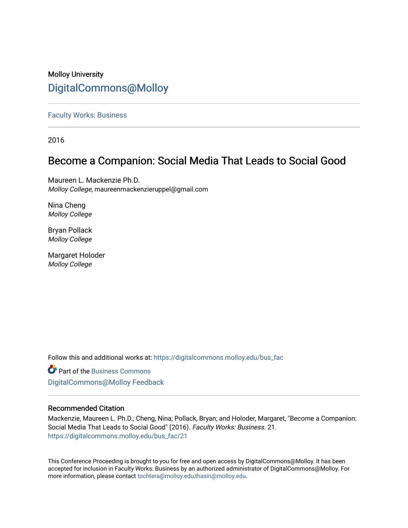# Molloy University [DigitalCommons@Molloy](https://digitalcommons.molloy.edu/)

# [Faculty Works: Business](https://digitalcommons.molloy.edu/bus_fac)

2016

# Become a Companion: Social Media That Leads to Social Good

Maureen L. Mackenzie Ph.D. Molloy College, maureenmackenzieruppel@gmail.com

Nina Cheng Molloy College

Bryan Pollack Molloy College

Margaret Holoder Molloy College

Follow this and additional works at: [https://digitalcommons.molloy.edu/bus\\_fac](https://digitalcommons.molloy.edu/bus_fac?utm_source=digitalcommons.molloy.edu%2Fbus_fac%2F21&utm_medium=PDF&utm_campaign=PDFCoverPages)

**C** Part of the [Business Commons](https://network.bepress.com/hgg/discipline/622?utm_source=digitalcommons.molloy.edu%2Fbus_fac%2F21&utm_medium=PDF&utm_campaign=PDFCoverPages) [DigitalCommons@Molloy Feedback](https://molloy.libwizard.com/f/dcfeedback)

# Recommended Citation

Mackenzie, Maureen L. Ph.D.; Cheng, Nina; Pollack, Bryan; and Holoder, Margaret, "Become a Companion: Social Media That Leads to Social Good" (2016). Faculty Works: Business. 21. [https://digitalcommons.molloy.edu/bus\\_fac/21](https://digitalcommons.molloy.edu/bus_fac/21?utm_source=digitalcommons.molloy.edu%2Fbus_fac%2F21&utm_medium=PDF&utm_campaign=PDFCoverPages) 

This Conference Proceeding is brought to you for free and open access by DigitalCommons@Molloy. It has been accepted for inclusion in Faculty Works: Business by an authorized administrator of DigitalCommons@Molloy. For more information, please contact [tochtera@molloy.edu,thasin@molloy.edu.](mailto:tochtera@molloy.edu,thasin@molloy.edu)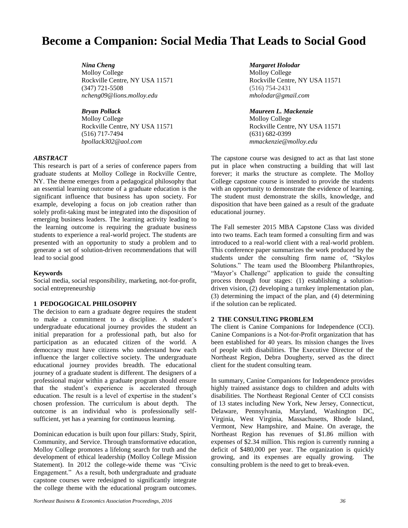# **Become a Companion: Social Media That Leads to Social Good**

*Nina Cheng Margaret Holodar* Molloy College Molloy College Rockville Centre, NY USA 11571 Rockville Centre, NY USA 11571 (347) 721-5508 (516) 754-2431 *ncheng09@lions.molloy.edu mholodar@gmail.com*

*Bryan Pollack Maureen L. Mackenzie* Molloy College Molloy College (516) 717-7494 (631) 682-0399 *bpollack302@aol.com mmackenzie@molloy.edu*

## *ABSTRACT*

This research is part of a series of conference papers from graduate students at Molloy College in Rockville Centre, NY. The theme emerges from a pedagogical philosophy that an essential learning outcome of a graduate education is the significant influence that business has upon society. For example, developing a focus on job creation rather than solely profit-taking must be integrated into the disposition of emerging business leaders. The learning activity leading to the learning outcome is requiring the graduate business students to experience a real-world project. The students are presented with an opportunity to study a problem and to generate a set of solution-driven recommendations that will lead to social good

#### **Keywords**

Social media, social responsibility, marketing, not-for-profit, social entrepreneurship

#### **1 PEDOGOGICAL PHILOSOPHY**

The decision to earn a graduate degree requires the student to make a commitment to a discipline. A student's undergraduate educational journey provides the student an initial preparation for a professional path, but also for participation as an educated citizen of the world. A democracy must have citizens who understand how each influence the larger collective society. The undergraduate educational journey provides breadth. The educational journey of a graduate student is different. The designers of a professional major within a graduate program should ensure that the student's experience is accelerated through education. The result is a level of expertise in the student's chosen profession. The curriculum is about depth. The outcome is an individual who is professionally selfsufficient, yet has a yearning for continuous learning.

Dominican education is built upon four pillars: Study, Spirit, Community, and Service. Through transformative education, Molloy College promotes a lifelong search for truth and the development of ethical leadership (Molloy College Mission Statement). In 2012 the college-wide theme was "Civic Engagement." As a result, both undergraduate and graduate capstone courses were redesigned to significantly integrate the college theme with the educational program outcomes.

Rockville Centre, NY USA 11571 Rockville Centre, NY USA 11571

The capstone course was designed to act as that last stone put in place when constructing a building that will last forever; it marks the structure as complete. The Molloy College capstone course is intended to provide the students with an opportunity to demonstrate the evidence of learning. The student must demonstrate the skills, knowledge, and disposition that have been gained as a result of the graduate educational journey.

The Fall semester 2015 MBA Capstone Class was divided into two teams. Each team formed a consulting firm and was introduced to a real-world client with a real-world problem. This conference paper summarizes the work produced by the students under the consulting firm name of, "Skylos Solutions." The team used the Bloomberg Philanthropies, "Mayor's Challenge" application to guide the consulting process through four stages: (1) establishing a solutiondriven vision, (2) developing a turnkey implementation plan, (3) determining the impact of the plan, and (4) determining if the solution can be replicated.

# **2 THE CONSULTING PROBLEM**

The client is Canine Companions for Independence (CCI). Canine Companions is a Not-for-Profit organization that has been established for 40 years. Its mission changes the lives of people with disabilities. The Executive Director of the Northeast Region, Debra Dougherty, served as the direct client for the student consulting team.

In summary, Canine Companions for Independence provides highly trained assistance dogs to children and adults with disabilities. The Northeast Regional Center of CCI consists of 13 states including New York, New Jersey, Connecticut, Delaware, Pennsylvania, Maryland, Washington DC, Virginia, West Virginia, Massachusetts, Rhode Island, Vermont, New Hampshire, and Maine. On average, the Northeast Region has revenues of \$1.86 million with expenses of \$2.34 million. This region is currently running a deficit of \$480,000 per year. The organization is quickly growing, and its expenses are equally growing. The consulting problem is the need to get to break-even.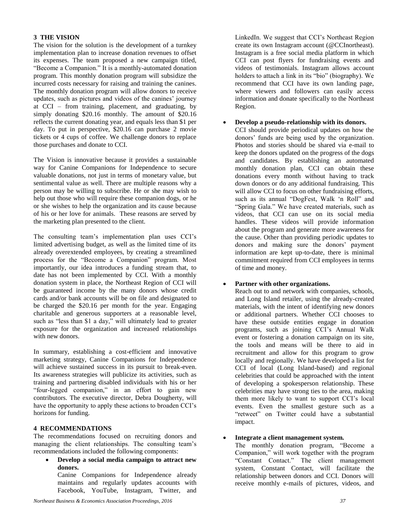# **3 THE VISION**

The vision for the solution is the development of a turnkey implementation plan to increase donation revenues to offset its expenses. The team proposed a new campaign titled, "Become a Companion." It is a monthly-automated donation program. This monthly donation program will subsidize the incurred costs necessary for raising and training the canines. The monthly donation program will allow donors to receive updates, such as pictures and videos of the canines' journey at CCI – from training, placement, and graduating, by simply donating \$20.16 monthly. The amount of \$20.16 reflects the current donating year, and equals less than \$1 per day. To put in perspective, \$20.16 can purchase 2 movie tickets or 4 cups of coffee. We challenge donors to replace those purchases and donate to CCI.

The Vision is innovative because it provides a sustainable way for Canine Companions for Independence to secure valuable donations, not just in terms of monetary value, but sentimental value as well. There are multiple reasons why a person may be willing to subscribe. He or she may wish to help out those who will require these companion dogs, or he or she wishes to help the organization and its cause because of his or her love for animals. These reasons are served by the marketing plan presented to the client.

The consulting team's implementation plan uses CCI's limited advertising budget, as well as the limited time of its already overextended employees, by creating a streamlined process for the "Become a Companion" program. Most importantly, our idea introduces a funding stream that, to date has not been implemented by CCI. With a monthly donation system in place, the Northeast Region of CCI will be guaranteed income by the many donors whose credit cards and/or bank accounts will be on file and designated to be charged the \$20.16 per month for the year. Engaging charitable and generous supporters at a reasonable level, such as "less than \$1 a day," will ultimately lead to greater exposure for the organization and increased relationships with new donors.

In summary, establishing a cost-efficient and innovative marketing strategy, Canine Companions for Independence will achieve sustained success in its pursuit to break-even. Its awareness strategies will publicize its activities, such as training and partnering disabled individuals with his or her "four-legged companion," in an effort to gain new contributors. The executive director, Debra Dougherty, will have the opportunity to apply these actions to broaden CCI's horizons for funding.

# **4 RECOMMENDATIONS**

The recommendations focused on recruiting donors and managing the client relationships. The consulting team's recommendations included the following components:

 **Develop a social media campaign to attract new donors.**

Canine Companions for Independence already maintains and regularly updates accounts with Facebook, YouTube, Instagram, Twitter, and

LinkedIn. We suggest that CCI's Northeast Region create its own Instagram account (@CCInortheast). Instagram is a free social media platform in which CCI can post flyers for fundraising events and videos of testimonials. Instagram allows account holders to attach a link in its "bio" (biography). We recommend that CCI have its own landing page, where viewers and followers can easily access information and donate specifically to the Northeast Region.

#### **Develop a pseudo-relationship with its donors.**

CCI should provide periodical updates on how the donors' funds are being used by the organization. Photos and stories should be shared via e-mail to keep the donors updated on the progress of the dogs and candidates. By establishing an automated monthly donation plan, CCI can obtain these donations every month without having to track down donors or do any additional fundraising. This will allow CCI to focus on other fundraising efforts, such as its annual "DogFest, Walk 'n Roll" and "Spring Gala." We have created materials, such as videos, that CCI can use on its social media handles. These videos will provide information about the program and generate more awareness for the cause. Other than providing periodic updates to donors and making sure the donors' payment information are kept up-to-date, there is minimal commitment required from CCI employees in terms of time and money.

## **Partner with other organizations.**

Reach out to and network with companies, schools, and Long Island retailer, using the already-created materials, with the intent of identifying new donors or additional partners. Whether CCI chooses to have these outside entities engage in donation programs, such as joining CCI's Annual Walk event or fostering a donation campaign on its site, the tools and means will be there to aid in recruitment and allow for this program to grow locally and regionally. We have developed a list for CCI of local (Long Island-based) and regional celebrities that could be approached with the intent of developing a spokesperson relationship. These celebrities may have strong ties to the area, making them more likely to want to support CCI's local events. Even the smallest gesture such as a "retweet" on Twitter could have a substantial impact.

#### **Integrate a client management system.**

The monthly donation program, "Become a Companion," will work together with the program "Constant Contact." The client management system, Constant Contact, will facilitate the relationship between donors and CCI. Donors will receive monthly e-mails of pictures, videos, and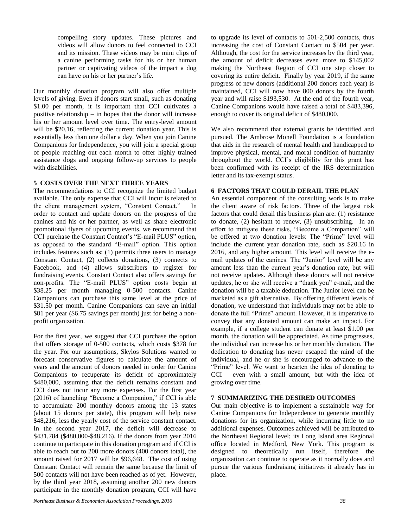compelling story updates. These pictures and videos will allow donors to feel connected to CCI and its mission. These videos may be mini clips of a canine performing tasks for his or her human partner or captivating videos of the impact a dog can have on his or her partner's life.

Our monthly donation program will also offer multiple levels of giving. Even if donors start small, such as donating \$1.00 per month, it is important that CCI cultivates a positive relationship – in hopes that the donor will increase his or her amount level over time. The entry-level amount will be \$20.16, reflecting the current donation year. This is essentially less than one dollar a day. When you join Canine Companions for Independence, you will join a special group of people reaching out each month to offer highly trained assistance dogs and ongoing follow-up services to people with disabilities.

# **5 COSTS OVER THE NEXT THREE YEARS**

The recommendations to CCI recognize the limited budget available. The only expense that CCI will incur is related to the client management system, "Constant Contact." In order to contact and update donors on the progress of the canines and his or her partner, as well as share electronic promotional flyers of upcoming events, we recommend that CCI purchase the Constant Contact's "E-mail PLUS" option, as opposed to the standard "E-mail" option. This option includes features such as: (1) permits three users to manage Constant Contact, (2) collects donations, (3) connects to Facebook, and (4) allows subscribers to register for fundraising events. Constant Contact also offers savings for non-profits. The "E-mail PLUS" option costs begin at \$38.25 per month managing 0-500 contacts. Canine Companions can purchase this same level at the price of \$31.50 per month. Canine Companions can save an initial \$81 per year (\$6.75 savings per month) just for being a nonprofit organization.

For the first year, we suggest that CCI purchase the option that offers storage of 0-500 contacts, which costs \$378 for the year. For our assumptions, Skylos Solutions wanted to forecast conservative figures to calculate the amount of years and the amount of donors needed in order for Canine Companions to recuperate its deficit of approximately \$480,000, assuming that the deficit remains constant and CCI does not incur any more expenses. For the first year (2016) of launching "Become a Companion," if CCI is able to accumulate 200 monthly donors among the 13 states (about 15 donors per state), this program will help raise \$48,216, less the yearly cost of the service constant contact. In the second year 2017, the deficit will decrease to \$431,784 (\$480,000-\$48,216). If the donors from year 2016 continue to participate in this donation program and if CCI is able to reach out to 200 more donors (400 donors total), the amount raised for 2017 will be \$96,648. The cost of using Constant Contact will remain the same because the limit of 500 contacts will not have been reached as of yet. However, by the third year 2018, assuming another 200 new donors participate in the monthly donation program, CCI will have

to upgrade its level of contacts to 501-2,500 contacts, thus increasing the cost of Constant Contact to \$504 per year. Although, the cost for the service increases by the third year, the amount of deficit decreases even more to \$145,002 making the Northeast Region of CCI one step closer to covering its entire deficit. Finally by year 2019, if the same progress of new donors (additional 200 donors each year) is maintained, CCI will now have 800 donors by the fourth year and will raise \$193,530. At the end of the fourth year, Canine Companions would have raised a total of \$483,396, enough to cover its original deficit of \$480,000.

We also recommend that external grants be identified and pursued. The Ambrose Monell Foundation is a foundation that aids in the research of mental health and handicapped to improve physical, mental, and moral condition of humanity throughout the world. CCI's eligibility for this grant has been confirmed with its receipt of the IRS determination letter and its tax-exempt status.

## **6 FACTORS THAT COULD DERAIL THE PLAN**

An essential component of the consulting work is to make the client aware of risk factors. Three of the largest risk factors that could derail this business plan are: (1) resistance to donate, (2) hesitant to renew, (3) unsubscribing. In an effort to mitigate these risks, "Become a Companion" will be offered at two donation levels: The "Prime" level will include the current year donation rate, such as \$20.16 in 2016, and any higher amount. This level will receive the email updates of the canines. The "Junior" level will be any amount less than the current year's donation rate, but will not receive updates. Although these donors will not receive updates, he or she will receive a "thank you" e-mail, and the donation will be a taxable deduction. The Junior level can be marketed as a gift alternative. By offering different levels of donation, we understand that individuals may not be able to donate the full "Prime" amount. However, it is imperative to convey that any donated amount can make an impact. For example, if a college student can donate at least \$1.00 per month, the donation will be appreciated. As time progresses, the individual can increase his or her monthly donation. The dedication to donating has never escaped the mind of the individual, and he or she is encouraged to advance to the "Prime" level. We want to hearten the idea of donating to CCI – even with a small amount, but with the idea of growing over time.

### **7 SUMMARIZING THE DESIRED OUTCOMES**

Our main objective is to implement a sustainable way for Canine Companions for Independence to generate monthly donations for its organization, while incurring little to no additional expenses. Outcomes achieved will be attributed to the Northeast Regional level; its Long Island area Regional office located in Medford, New York. This program is designed to theoretically run itself, therefore the organization can continue to operate as it normally does and pursue the various fundraising initiatives it already has in place.